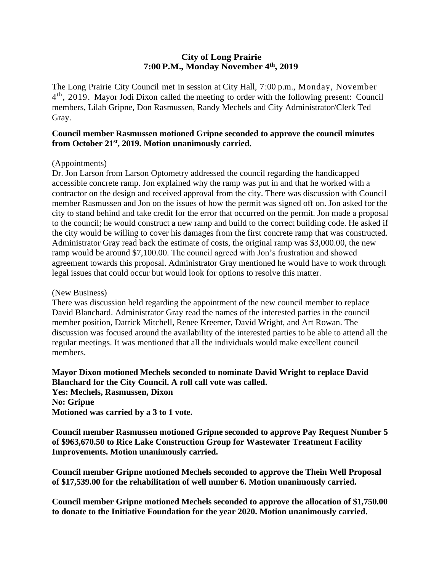### **City of Long Prairie 7:00P.M., Monday November 4th, 2019**

The Long Prairie City Council met in session at City Hall, 7:00 p.m., Monday, November 4<sup>th</sup>, 2019. Mayor Jodi Dixon called the meeting to order with the following present: Council members, Lilah Gripne, Don Rasmussen, Randy Mechels and City Administrator/Clerk Ted Gray.

### **Council member Rasmussen motioned Gripne seconded to approve the council minutes from October 21st , 2019. Motion unanimously carried.**

#### (Appointments)

Dr. Jon Larson from Larson Optometry addressed the council regarding the handicapped accessible concrete ramp. Jon explained why the ramp was put in and that he worked with a contractor on the design and received approval from the city. There was discussion with Council member Rasmussen and Jon on the issues of how the permit was signed off on. Jon asked for the city to stand behind and take credit for the error that occurred on the permit. Jon made a proposal to the council; he would construct a new ramp and build to the correct building code. He asked if the city would be willing to cover his damages from the first concrete ramp that was constructed. Administrator Gray read back the estimate of costs, the original ramp was \$3,000.00, the new ramp would be around \$7,100.00. The council agreed with Jon's frustration and showed agreement towards this proposal. Administrator Gray mentioned he would have to work through legal issues that could occur but would look for options to resolve this matter.

#### (New Business)

There was discussion held regarding the appointment of the new council member to replace David Blanchard. Administrator Gray read the names of the interested parties in the council member position, Datrick Mitchell, Renee Kreemer, David Wright, and Art Rowan. The discussion was focused around the availability of the interested parties to be able to attend all the regular meetings. It was mentioned that all the individuals would make excellent council members.

## **Mayor Dixon motioned Mechels seconded to nominate David Wright to replace David Blanchard for the City Council. A roll call vote was called.**

**Yes: Mechels, Rasmussen, Dixon No: Gripne Motioned was carried by a 3 to 1 vote.** 

**Council member Rasmussen motioned Gripne seconded to approve Pay Request Number 5 of \$963,670.50 to Rice Lake Construction Group for Wastewater Treatment Facility Improvements. Motion unanimously carried.**

**Council member Gripne motioned Mechels seconded to approve the Thein Well Proposal of \$17,539.00 for the rehabilitation of well number 6. Motion unanimously carried.**

**Council member Gripne motioned Mechels seconded to approve the allocation of \$1,750.00 to donate to the Initiative Foundation for the year 2020. Motion unanimously carried.**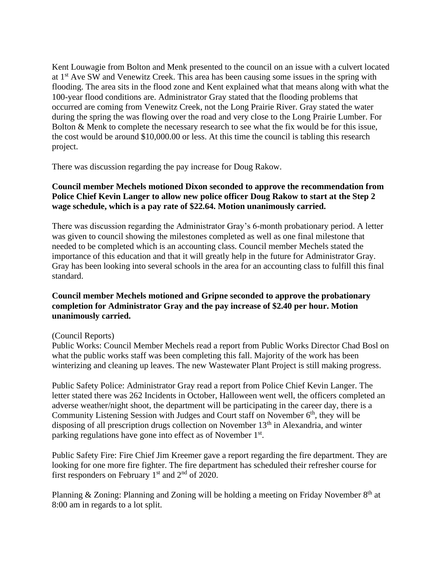Kent Louwagie from Bolton and Menk presented to the council on an issue with a culvert located at 1st Ave SW and Venewitz Creek. This area has been causing some issues in the spring with flooding. The area sits in the flood zone and Kent explained what that means along with what the 100-year flood conditions are. Administrator Gray stated that the flooding problems that occurred are coming from Venewitz Creek, not the Long Prairie River. Gray stated the water during the spring the was flowing over the road and very close to the Long Prairie Lumber. For Bolton & Menk to complete the necessary research to see what the fix would be for this issue, the cost would be around \$10,000.00 or less. At this time the council is tabling this research project.

There was discussion regarding the pay increase for Doug Rakow.

# **Council member Mechels motioned Dixon seconded to approve the recommendation from Police Chief Kevin Langer to allow new police officer Doug Rakow to start at the Step 2 wage schedule, which is a pay rate of \$22.64. Motion unanimously carried.**

There was discussion regarding the Administrator Gray's 6-month probationary period. A letter was given to council showing the milestones completed as well as one final milestone that needed to be completed which is an accounting class. Council member Mechels stated the importance of this education and that it will greatly help in the future for Administrator Gray. Gray has been looking into several schools in the area for an accounting class to fulfill this final standard.

## **Council member Mechels motioned and Gripne seconded to approve the probationary completion for Administrator Gray and the pay increase of \$2.40 per hour. Motion unanimously carried.**

## (Council Reports)

Public Works: Council Member Mechels read a report from Public Works Director Chad Bosl on what the public works staff was been completing this fall. Majority of the work has been winterizing and cleaning up leaves. The new Wastewater Plant Project is still making progress.

Public Safety Police: Administrator Gray read a report from Police Chief Kevin Langer. The letter stated there was 262 Incidents in October, Halloween went well, the officers completed an adverse weather/night shoot, the department will be participating in the career day, there is a Community Listening Session with Judges and Court staff on November 6<sup>th</sup>, they will be disposing of all prescription drugs collection on November  $13<sup>th</sup>$  in Alexandria, and winter parking regulations have gone into effect as of November 1<sup>st</sup>.

Public Safety Fire: Fire Chief Jim Kreemer gave a report regarding the fire department. They are looking for one more fire fighter. The fire department has scheduled their refresher course for first responders on February  $1<sup>st</sup>$  and  $2<sup>nd</sup>$  of 2020.

Planning & Zoning: Planning and Zoning will be holding a meeting on Friday November 8<sup>th</sup> at 8:00 am in regards to a lot split.